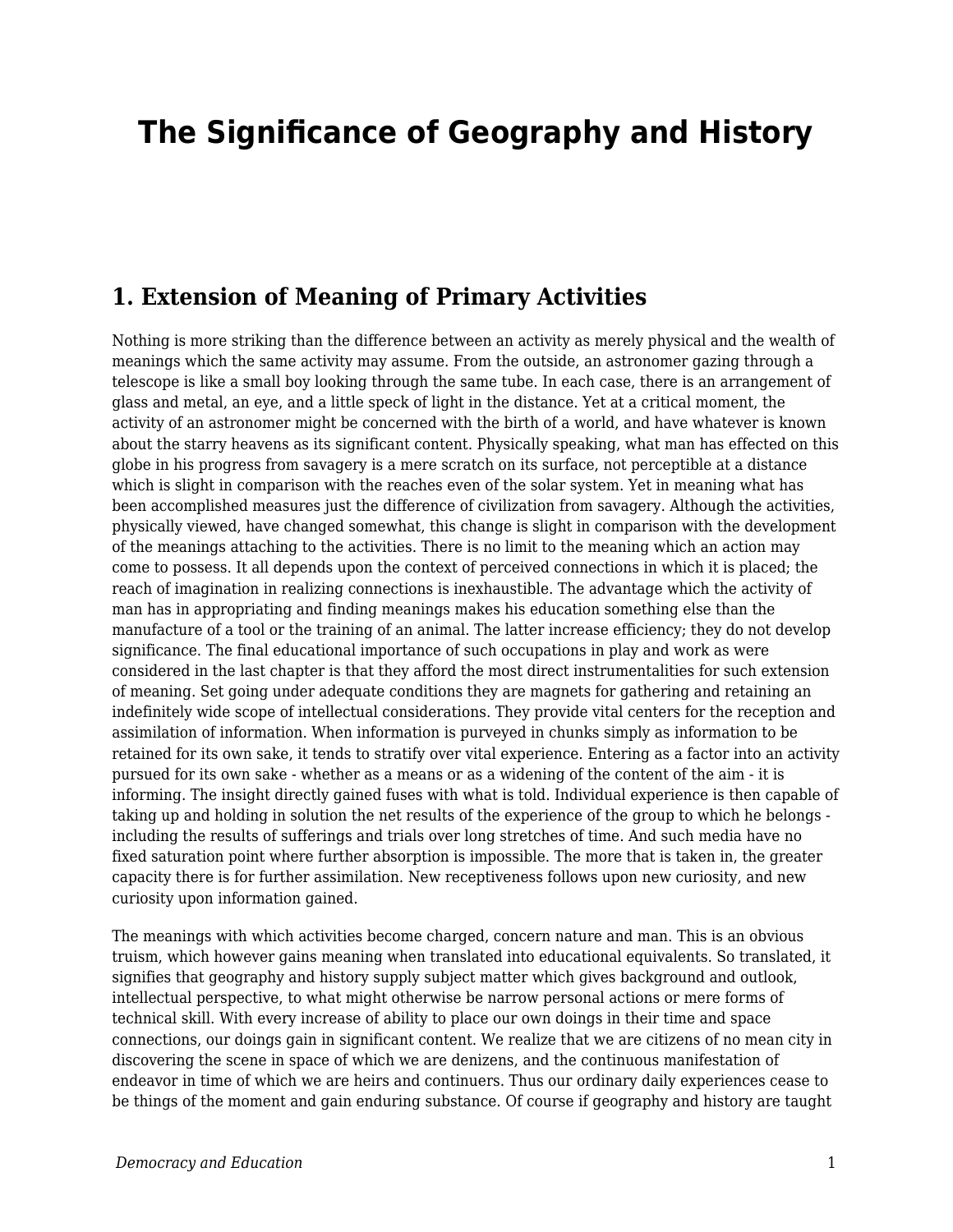# **The Significance of Geography and History**

#### **1. Extension of Meaning of Primary Activities**

Nothing is more striking than the difference between an activity as merely physical and the wealth of meanings which the same activity may assume. From the outside, an astronomer gazing through a telescope is like a small boy looking through the same tube. In each case, there is an arrangement of glass and metal, an eye, and a little speck of light in the distance. Yet at a critical moment, the activity of an astronomer might be concerned with the birth of a world, and have whatever is known about the starry heavens as its significant content. Physically speaking, what man has effected on this globe in his progress from savagery is a mere scratch on its surface, not perceptible at a distance which is slight in comparison with the reaches even of the solar system. Yet in meaning what has been accomplished measures just the difference of civilization from savagery. Although the activities, physically viewed, have changed somewhat, this change is slight in comparison with the development of the meanings attaching to the activities. There is no limit to the meaning which an action may come to possess. It all depends upon the context of perceived connections in which it is placed; the reach of imagination in realizing connections is inexhaustible. The advantage which the activity of man has in appropriating and finding meanings makes his education something else than the manufacture of a tool or the training of an animal. The latter increase efficiency; they do not develop significance. The final educational importance of such occupations in play and work as were considered in the last chapter is that they afford the most direct instrumentalities for such extension of meaning. Set going under adequate conditions they are magnets for gathering and retaining an indefinitely wide scope of intellectual considerations. They provide vital centers for the reception and assimilation of information. When information is purveyed in chunks simply as information to be retained for its own sake, it tends to stratify over vital experience. Entering as a factor into an activity pursued for its own sake - whether as a means or as a widening of the content of the aim - it is informing. The insight directly gained fuses with what is told. Individual experience is then capable of taking up and holding in solution the net results of the experience of the group to which he belongs including the results of sufferings and trials over long stretches of time. And such media have no fixed saturation point where further absorption is impossible. The more that is taken in, the greater capacity there is for further assimilation. New receptiveness follows upon new curiosity, and new curiosity upon information gained.

The meanings with which activities become charged, concern nature and man. This is an obvious truism, which however gains meaning when translated into educational equivalents. So translated, it signifies that geography and history supply subject matter which gives background and outlook, intellectual perspective, to what might otherwise be narrow personal actions or mere forms of technical skill. With every increase of ability to place our own doings in their time and space connections, our doings gain in significant content. We realize that we are citizens of no mean city in discovering the scene in space of which we are denizens, and the continuous manifestation of endeavor in time of which we are heirs and continuers. Thus our ordinary daily experiences cease to be things of the moment and gain enduring substance. Of course if geography and history are taught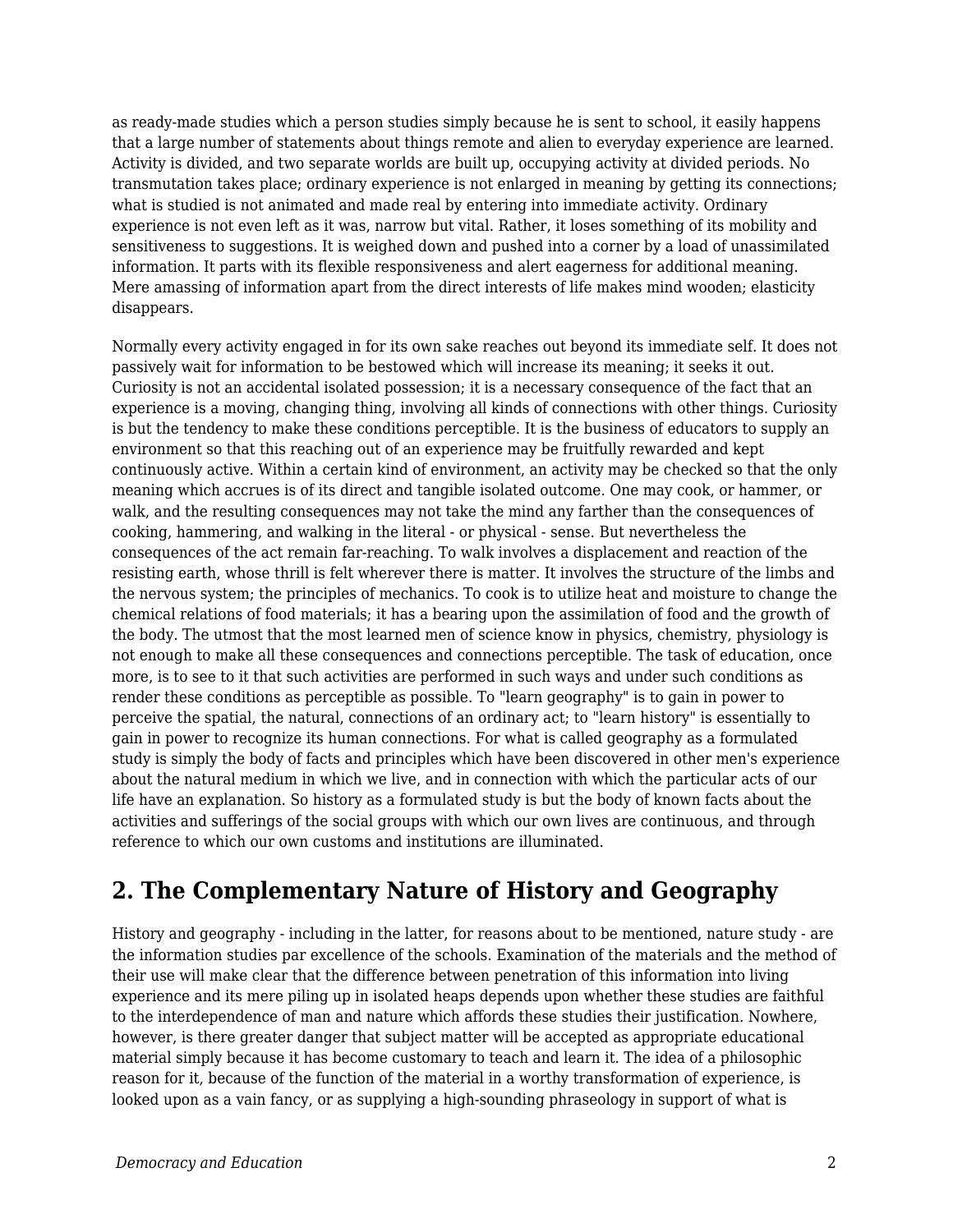as ready-made studies which a person studies simply because he is sent to school, it easily happens that a large number of statements about things remote and alien to everyday experience are learned. Activity is divided, and two separate worlds are built up, occupying activity at divided periods. No transmutation takes place; ordinary experience is not enlarged in meaning by getting its connections; what is studied is not animated and made real by entering into immediate activity. Ordinary experience is not even left as it was, narrow but vital. Rather, it loses something of its mobility and sensitiveness to suggestions. It is weighed down and pushed into a corner by a load of unassimilated information. It parts with its flexible responsiveness and alert eagerness for additional meaning. Mere amassing of information apart from the direct interests of life makes mind wooden; elasticity disappears.

Normally every activity engaged in for its own sake reaches out beyond its immediate self. It does not passively wait for information to be bestowed which will increase its meaning; it seeks it out. Curiosity is not an accidental isolated possession; it is a necessary consequence of the fact that an experience is a moving, changing thing, involving all kinds of connections with other things. Curiosity is but the tendency to make these conditions perceptible. It is the business of educators to supply an environment so that this reaching out of an experience may be fruitfully rewarded and kept continuously active. Within a certain kind of environment, an activity may be checked so that the only meaning which accrues is of its direct and tangible isolated outcome. One may cook, or hammer, or walk, and the resulting consequences may not take the mind any farther than the consequences of cooking, hammering, and walking in the literal - or physical - sense. But nevertheless the consequences of the act remain far-reaching. To walk involves a displacement and reaction of the resisting earth, whose thrill is felt wherever there is matter. It involves the structure of the limbs and the nervous system; the principles of mechanics. To cook is to utilize heat and moisture to change the chemical relations of food materials; it has a bearing upon the assimilation of food and the growth of the body. The utmost that the most learned men of science know in physics, chemistry, physiology is not enough to make all these consequences and connections perceptible. The task of education, once more, is to see to it that such activities are performed in such ways and under such conditions as render these conditions as perceptible as possible. To "learn geography" is to gain in power to perceive the spatial, the natural, connections of an ordinary act; to "learn history" is essentially to gain in power to recognize its human connections. For what is called geography as a formulated study is simply the body of facts and principles which have been discovered in other men's experience about the natural medium in which we live, and in connection with which the particular acts of our life have an explanation. So history as a formulated study is but the body of known facts about the activities and sufferings of the social groups with which our own lives are continuous, and through reference to which our own customs and institutions are illuminated.

## **2. The Complementary Nature of History and Geography**

History and geography - including in the latter, for reasons about to be mentioned, nature study - are the information studies par excellence of the schools. Examination of the materials and the method of their use will make clear that the difference between penetration of this information into living experience and its mere piling up in isolated heaps depends upon whether these studies are faithful to the interdependence of man and nature which affords these studies their justification. Nowhere, however, is there greater danger that subject matter will be accepted as appropriate educational material simply because it has become customary to teach and learn it. The idea of a philosophic reason for it, because of the function of the material in a worthy transformation of experience, is looked upon as a vain fancy, or as supplying a high-sounding phraseology in support of what is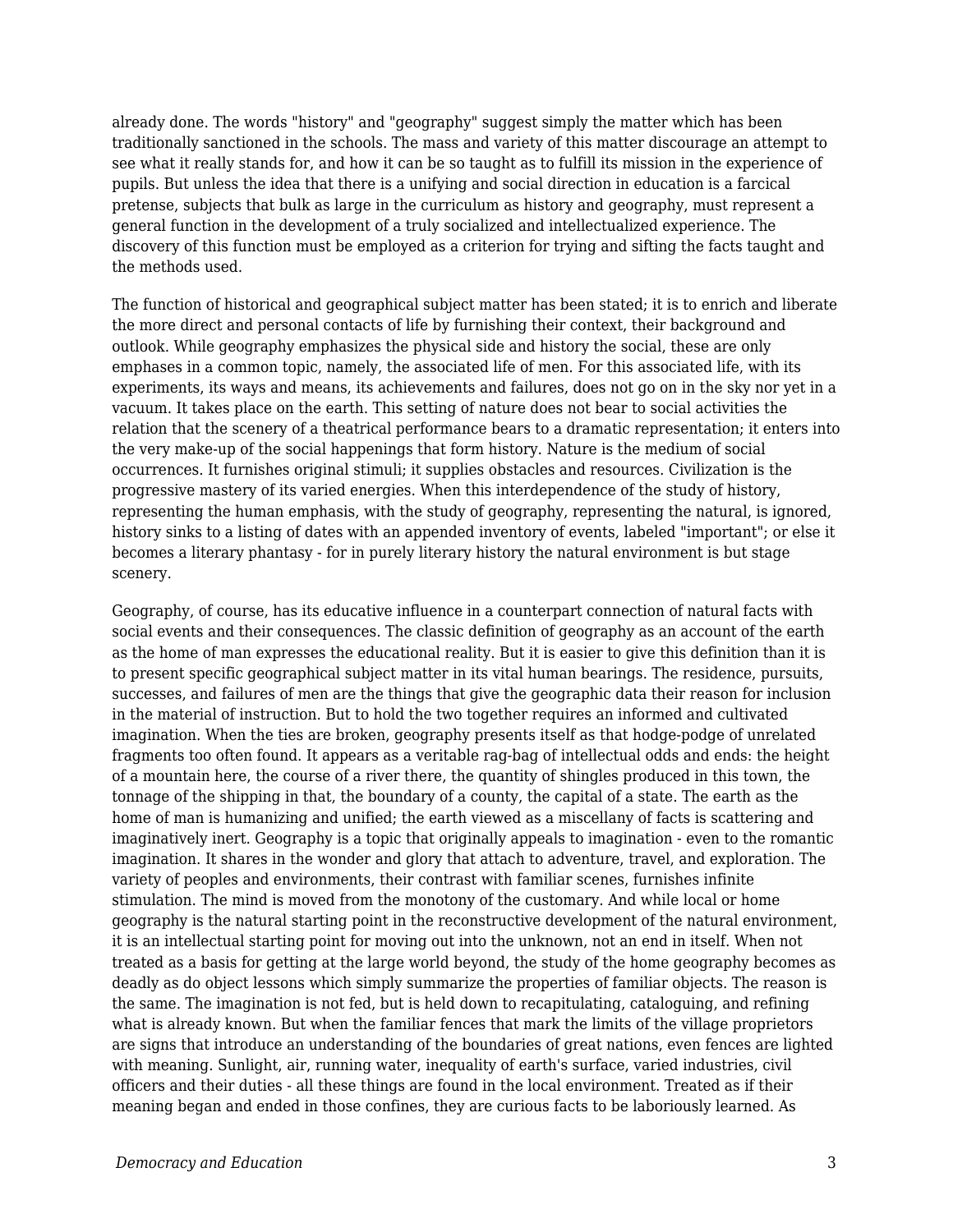already done. The words "history" and "geography" suggest simply the matter which has been traditionally sanctioned in the schools. The mass and variety of this matter discourage an attempt to see what it really stands for, and how it can be so taught as to fulfill its mission in the experience of pupils. But unless the idea that there is a unifying and social direction in education is a farcical pretense, subjects that bulk as large in the curriculum as history and geography, must represent a general function in the development of a truly socialized and intellectualized experience. The discovery of this function must be employed as a criterion for trying and sifting the facts taught and the methods used.

The function of historical and geographical subject matter has been stated; it is to enrich and liberate the more direct and personal contacts of life by furnishing their context, their background and outlook. While geography emphasizes the physical side and history the social, these are only emphases in a common topic, namely, the associated life of men. For this associated life, with its experiments, its ways and means, its achievements and failures, does not go on in the sky nor yet in a vacuum. It takes place on the earth. This setting of nature does not bear to social activities the relation that the scenery of a theatrical performance bears to a dramatic representation; it enters into the very make-up of the social happenings that form history. Nature is the medium of social occurrences. It furnishes original stimuli; it supplies obstacles and resources. Civilization is the progressive mastery of its varied energies. When this interdependence of the study of history, representing the human emphasis, with the study of geography, representing the natural, is ignored, history sinks to a listing of dates with an appended inventory of events, labeled "important"; or else it becomes a literary phantasy - for in purely literary history the natural environment is but stage scenery.

Geography, of course, has its educative influence in a counterpart connection of natural facts with social events and their consequences. The classic definition of geography as an account of the earth as the home of man expresses the educational reality. But it is easier to give this definition than it is to present specific geographical subject matter in its vital human bearings. The residence, pursuits, successes, and failures of men are the things that give the geographic data their reason for inclusion in the material of instruction. But to hold the two together requires an informed and cultivated imagination. When the ties are broken, geography presents itself as that hodge-podge of unrelated fragments too often found. It appears as a veritable rag-bag of intellectual odds and ends: the height of a mountain here, the course of a river there, the quantity of shingles produced in this town, the tonnage of the shipping in that, the boundary of a county, the capital of a state. The earth as the home of man is humanizing and unified; the earth viewed as a miscellany of facts is scattering and imaginatively inert. Geography is a topic that originally appeals to imagination - even to the romantic imagination. It shares in the wonder and glory that attach to adventure, travel, and exploration. The variety of peoples and environments, their contrast with familiar scenes, furnishes infinite stimulation. The mind is moved from the monotony of the customary. And while local or home geography is the natural starting point in the reconstructive development of the natural environment, it is an intellectual starting point for moving out into the unknown, not an end in itself. When not treated as a basis for getting at the large world beyond, the study of the home geography becomes as deadly as do object lessons which simply summarize the properties of familiar objects. The reason is the same. The imagination is not fed, but is held down to recapitulating, cataloguing, and refining what is already known. But when the familiar fences that mark the limits of the village proprietors are signs that introduce an understanding of the boundaries of great nations, even fences are lighted with meaning. Sunlight, air, running water, inequality of earth's surface, varied industries, civil officers and their duties - all these things are found in the local environment. Treated as if their meaning began and ended in those confines, they are curious facts to be laboriously learned. As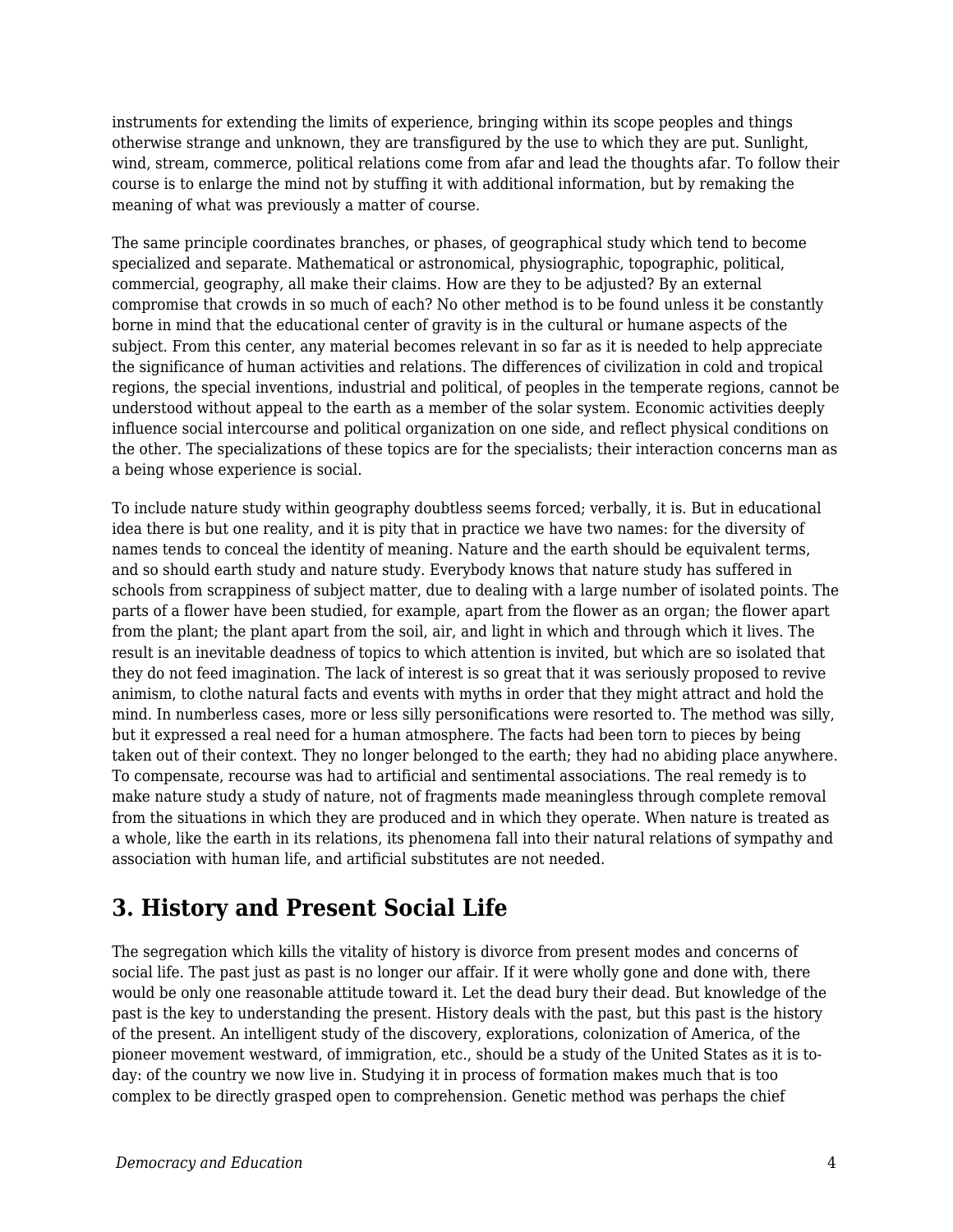instruments for extending the limits of experience, bringing within its scope peoples and things otherwise strange and unknown, they are transfigured by the use to which they are put. Sunlight, wind, stream, commerce, political relations come from afar and lead the thoughts afar. To follow their course is to enlarge the mind not by stuffing it with additional information, but by remaking the meaning of what was previously a matter of course.

The same principle coordinates branches, or phases, of geographical study which tend to become specialized and separate. Mathematical or astronomical, physiographic, topographic, political, commercial, geography, all make their claims. How are they to be adjusted? By an external compromise that crowds in so much of each? No other method is to be found unless it be constantly borne in mind that the educational center of gravity is in the cultural or humane aspects of the subject. From this center, any material becomes relevant in so far as it is needed to help appreciate the significance of human activities and relations. The differences of civilization in cold and tropical regions, the special inventions, industrial and political, of peoples in the temperate regions, cannot be understood without appeal to the earth as a member of the solar system. Economic activities deeply influence social intercourse and political organization on one side, and reflect physical conditions on the other. The specializations of these topics are for the specialists; their interaction concerns man as a being whose experience is social.

To include nature study within geography doubtless seems forced; verbally, it is. But in educational idea there is but one reality, and it is pity that in practice we have two names: for the diversity of names tends to conceal the identity of meaning. Nature and the earth should be equivalent terms, and so should earth study and nature study. Everybody knows that nature study has suffered in schools from scrappiness of subject matter, due to dealing with a large number of isolated points. The parts of a flower have been studied, for example, apart from the flower as an organ; the flower apart from the plant; the plant apart from the soil, air, and light in which and through which it lives. The result is an inevitable deadness of topics to which attention is invited, but which are so isolated that they do not feed imagination. The lack of interest is so great that it was seriously proposed to revive animism, to clothe natural facts and events with myths in order that they might attract and hold the mind. In numberless cases, more or less silly personifications were resorted to. The method was silly, but it expressed a real need for a human atmosphere. The facts had been torn to pieces by being taken out of their context. They no longer belonged to the earth; they had no abiding place anywhere. To compensate, recourse was had to artificial and sentimental associations. The real remedy is to make nature study a study of nature, not of fragments made meaningless through complete removal from the situations in which they are produced and in which they operate. When nature is treated as a whole, like the earth in its relations, its phenomena fall into their natural relations of sympathy and association with human life, and artificial substitutes are not needed.

### **3. History and Present Social Life**

The segregation which kills the vitality of history is divorce from present modes and concerns of social life. The past just as past is no longer our affair. If it were wholly gone and done with, there would be only one reasonable attitude toward it. Let the dead bury their dead. But knowledge of the past is the key to understanding the present. History deals with the past, but this past is the history of the present. An intelligent study of the discovery, explorations, colonization of America, of the pioneer movement westward, of immigration, etc., should be a study of the United States as it is today: of the country we now live in. Studying it in process of formation makes much that is too complex to be directly grasped open to comprehension. Genetic method was perhaps the chief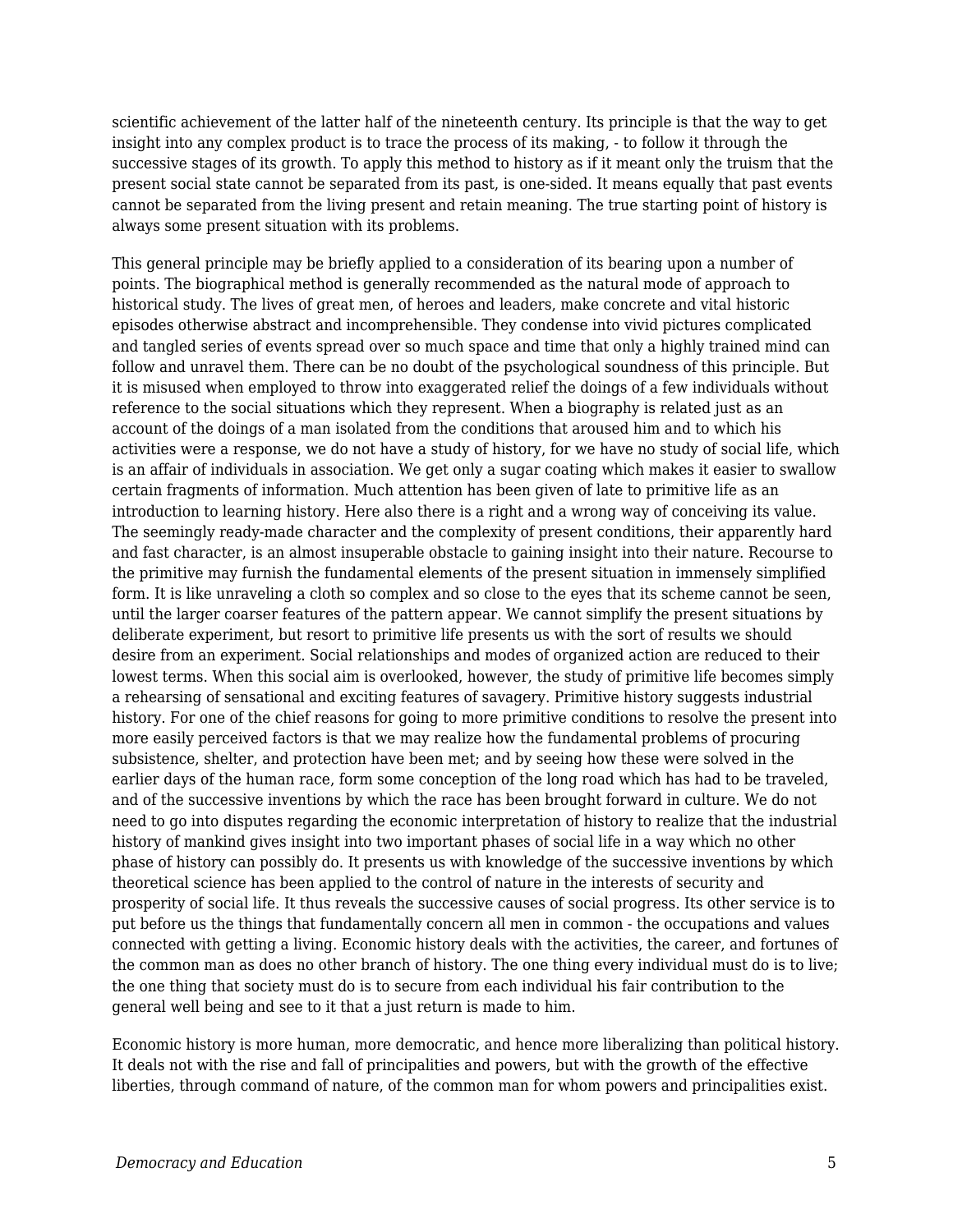scientific achievement of the latter half of the nineteenth century. Its principle is that the way to get insight into any complex product is to trace the process of its making, - to follow it through the successive stages of its growth. To apply this method to history as if it meant only the truism that the present social state cannot be separated from its past, is one-sided. It means equally that past events cannot be separated from the living present and retain meaning. The true starting point of history is always some present situation with its problems.

This general principle may be briefly applied to a consideration of its bearing upon a number of points. The biographical method is generally recommended as the natural mode of approach to historical study. The lives of great men, of heroes and leaders, make concrete and vital historic episodes otherwise abstract and incomprehensible. They condense into vivid pictures complicated and tangled series of events spread over so much space and time that only a highly trained mind can follow and unravel them. There can be no doubt of the psychological soundness of this principle. But it is misused when employed to throw into exaggerated relief the doings of a few individuals without reference to the social situations which they represent. When a biography is related just as an account of the doings of a man isolated from the conditions that aroused him and to which his activities were a response, we do not have a study of history, for we have no study of social life, which is an affair of individuals in association. We get only a sugar coating which makes it easier to swallow certain fragments of information. Much attention has been given of late to primitive life as an introduction to learning history. Here also there is a right and a wrong way of conceiving its value. The seemingly ready-made character and the complexity of present conditions, their apparently hard and fast character, is an almost insuperable obstacle to gaining insight into their nature. Recourse to the primitive may furnish the fundamental elements of the present situation in immensely simplified form. It is like unraveling a cloth so complex and so close to the eyes that its scheme cannot be seen, until the larger coarser features of the pattern appear. We cannot simplify the present situations by deliberate experiment, but resort to primitive life presents us with the sort of results we should desire from an experiment. Social relationships and modes of organized action are reduced to their lowest terms. When this social aim is overlooked, however, the study of primitive life becomes simply a rehearsing of sensational and exciting features of savagery. Primitive history suggests industrial history. For one of the chief reasons for going to more primitive conditions to resolve the present into more easily perceived factors is that we may realize how the fundamental problems of procuring subsistence, shelter, and protection have been met; and by seeing how these were solved in the earlier days of the human race, form some conception of the long road which has had to be traveled, and of the successive inventions by which the race has been brought forward in culture. We do not need to go into disputes regarding the economic interpretation of history to realize that the industrial history of mankind gives insight into two important phases of social life in a way which no other phase of history can possibly do. It presents us with knowledge of the successive inventions by which theoretical science has been applied to the control of nature in the interests of security and prosperity of social life. It thus reveals the successive causes of social progress. Its other service is to put before us the things that fundamentally concern all men in common - the occupations and values connected with getting a living. Economic history deals with the activities, the career, and fortunes of the common man as does no other branch of history. The one thing every individual must do is to live; the one thing that society must do is to secure from each individual his fair contribution to the general well being and see to it that a just return is made to him.

Economic history is more human, more democratic, and hence more liberalizing than political history. It deals not with the rise and fall of principalities and powers, but with the growth of the effective liberties, through command of nature, of the common man for whom powers and principalities exist.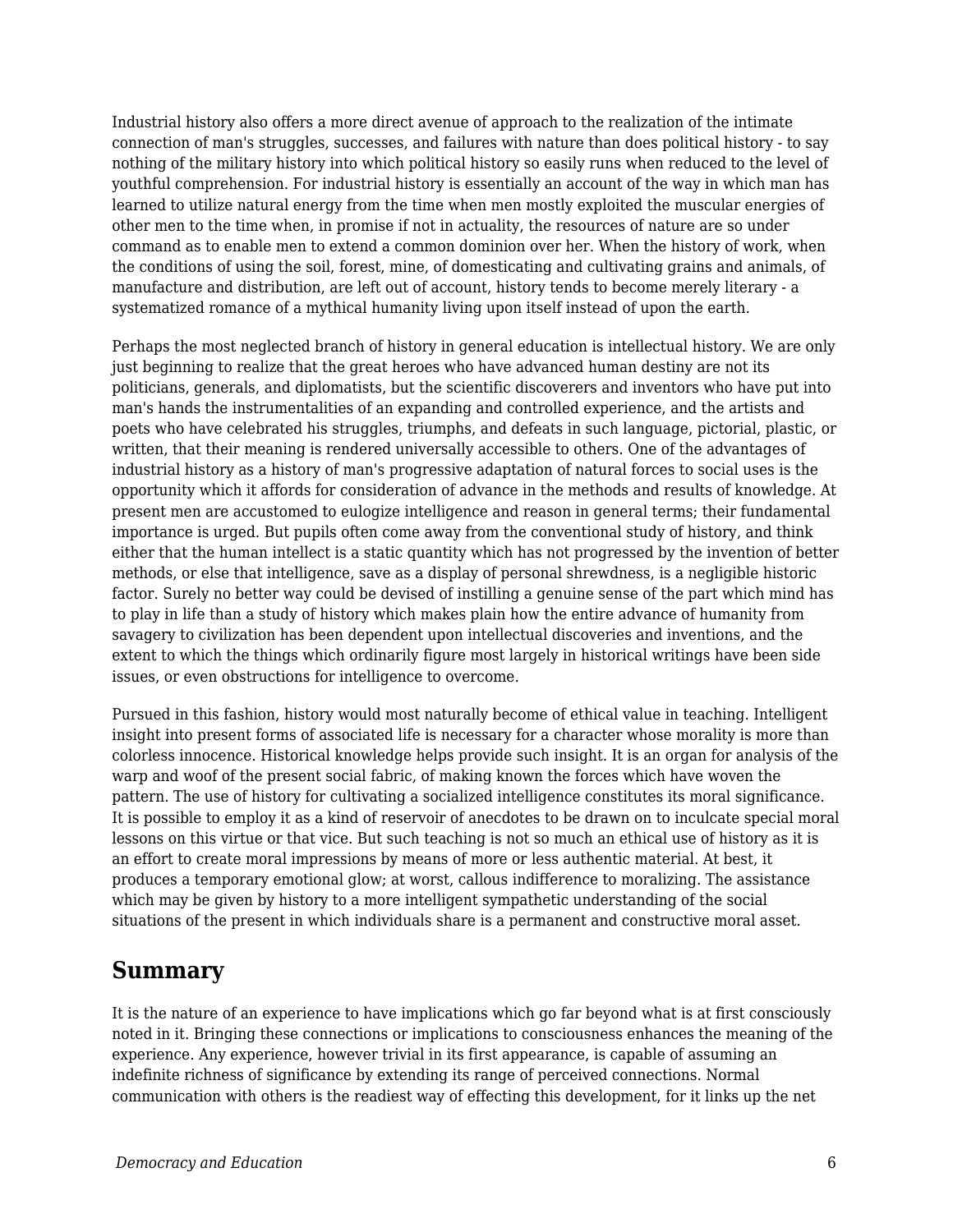Industrial history also offers a more direct avenue of approach to the realization of the intimate connection of man's struggles, successes, and failures with nature than does political history - to say nothing of the military history into which political history so easily runs when reduced to the level of youthful comprehension. For industrial history is essentially an account of the way in which man has learned to utilize natural energy from the time when men mostly exploited the muscular energies of other men to the time when, in promise if not in actuality, the resources of nature are so under command as to enable men to extend a common dominion over her. When the history of work, when the conditions of using the soil, forest, mine, of domesticating and cultivating grains and animals, of manufacture and distribution, are left out of account, history tends to become merely literary - a systematized romance of a mythical humanity living upon itself instead of upon the earth.

Perhaps the most neglected branch of history in general education is intellectual history. We are only just beginning to realize that the great heroes who have advanced human destiny are not its politicians, generals, and diplomatists, but the scientific discoverers and inventors who have put into man's hands the instrumentalities of an expanding and controlled experience, and the artists and poets who have celebrated his struggles, triumphs, and defeats in such language, pictorial, plastic, or written, that their meaning is rendered universally accessible to others. One of the advantages of industrial history as a history of man's progressive adaptation of natural forces to social uses is the opportunity which it affords for consideration of advance in the methods and results of knowledge. At present men are accustomed to eulogize intelligence and reason in general terms; their fundamental importance is urged. But pupils often come away from the conventional study of history, and think either that the human intellect is a static quantity which has not progressed by the invention of better methods, or else that intelligence, save as a display of personal shrewdness, is a negligible historic factor. Surely no better way could be devised of instilling a genuine sense of the part which mind has to play in life than a study of history which makes plain how the entire advance of humanity from savagery to civilization has been dependent upon intellectual discoveries and inventions, and the extent to which the things which ordinarily figure most largely in historical writings have been side issues, or even obstructions for intelligence to overcome.

Pursued in this fashion, history would most naturally become of ethical value in teaching. Intelligent insight into present forms of associated life is necessary for a character whose morality is more than colorless innocence. Historical knowledge helps provide such insight. It is an organ for analysis of the warp and woof of the present social fabric, of making known the forces which have woven the pattern. The use of history for cultivating a socialized intelligence constitutes its moral significance. It is possible to employ it as a kind of reservoir of anecdotes to be drawn on to inculcate special moral lessons on this virtue or that vice. But such teaching is not so much an ethical use of history as it is an effort to create moral impressions by means of more or less authentic material. At best, it produces a temporary emotional glow; at worst, callous indifference to moralizing. The assistance which may be given by history to a more intelligent sympathetic understanding of the social situations of the present in which individuals share is a permanent and constructive moral asset.

#### **Summary**

It is the nature of an experience to have implications which go far beyond what is at first consciously noted in it. Bringing these connections or implications to consciousness enhances the meaning of the experience. Any experience, however trivial in its first appearance, is capable of assuming an indefinite richness of significance by extending its range of perceived connections. Normal communication with others is the readiest way of effecting this development, for it links up the net